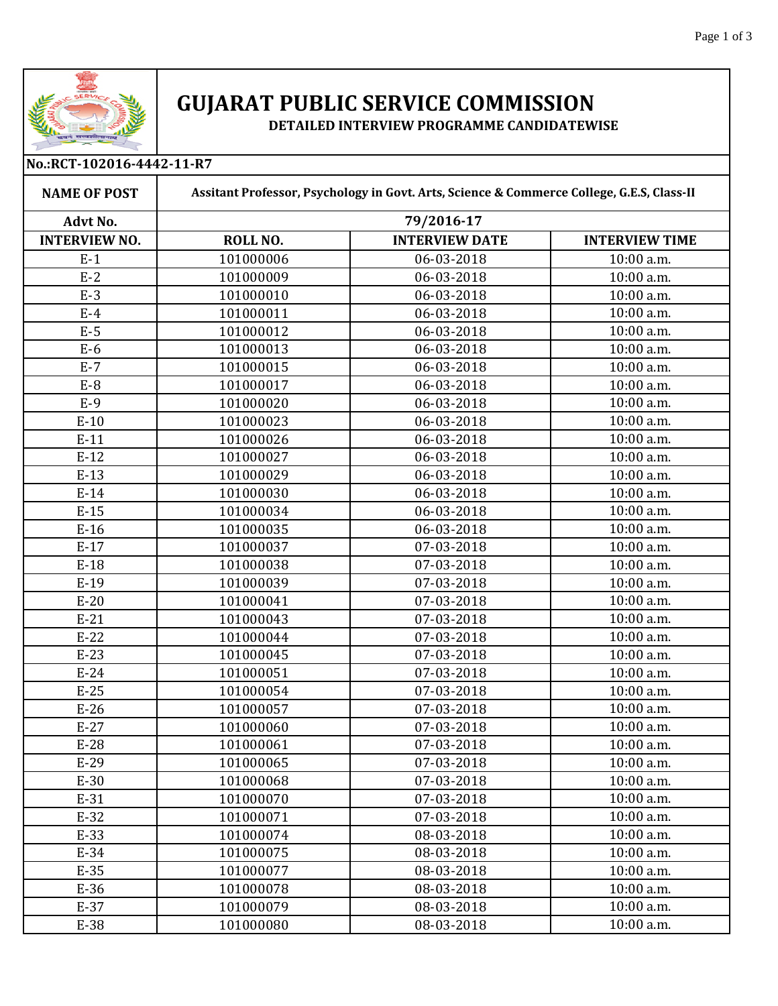

## **GUJARAT PUBLIC SERVICE COMMISSION**

**DETAILED INTERVIEW PROGRAMME CANDIDATEWISE** 

| No.:RCT-102016-4442-11-R7 |                                                                                           |                       |                       |  |  |
|---------------------------|-------------------------------------------------------------------------------------------|-----------------------|-----------------------|--|--|
| <b>NAME OF POST</b>       | Assitant Professor, Psychology in Govt. Arts, Science & Commerce College, G.E.S, Class-II |                       |                       |  |  |
| <b>Advt No.</b>           | 79/2016-17                                                                                |                       |                       |  |  |
| <b>INTERVIEW NO.</b>      | <b>ROLL NO.</b>                                                                           | <b>INTERVIEW DATE</b> | <b>INTERVIEW TIME</b> |  |  |
| $E-1$                     | 101000006                                                                                 | 06-03-2018            | 10:00 a.m.            |  |  |
| $E-2$                     | 101000009                                                                                 | 06-03-2018            | 10:00 a.m.            |  |  |
| $E-3$                     | 101000010                                                                                 | 06-03-2018            | 10:00 a.m.            |  |  |
| $E-4$                     | 101000011                                                                                 | 06-03-2018            | 10:00 a.m.            |  |  |
| $E-5$                     | 101000012                                                                                 | 06-03-2018            | 10:00 a.m.            |  |  |
| $E-6$                     | 101000013                                                                                 | 06-03-2018            | 10:00 a.m.            |  |  |
| $E-7$                     | 101000015                                                                                 | 06-03-2018            | 10:00 a.m.            |  |  |
| $E-8$                     | 101000017                                                                                 | 06-03-2018            | 10:00 a.m.            |  |  |
| $E-9$                     | 101000020                                                                                 | 06-03-2018            | 10:00 a.m.            |  |  |
| $E-10$                    | 101000023                                                                                 | 06-03-2018            | 10:00 a.m.            |  |  |
| $E-11$                    | 101000026                                                                                 | 06-03-2018            | 10:00 a.m.            |  |  |
| $E-12$                    | 101000027                                                                                 | 06-03-2018            | 10:00 a.m.            |  |  |
| $E-13$                    | 101000029                                                                                 | 06-03-2018            | 10:00 a.m.            |  |  |
| $E-14$                    | 101000030                                                                                 | 06-03-2018            | 10:00 a.m.            |  |  |
| $E-15$                    | 101000034                                                                                 | 06-03-2018            | 10:00 a.m.            |  |  |
| $E-16$                    | 101000035                                                                                 | 06-03-2018            | 10:00 a.m.            |  |  |
| $E-17$                    | 101000037                                                                                 | 07-03-2018            | 10:00 a.m.            |  |  |
| $E-18$                    | 101000038                                                                                 | 07-03-2018            | 10:00 a.m.            |  |  |
| $E-19$                    | 101000039                                                                                 | 07-03-2018            | 10:00 a.m.            |  |  |
| $E-20$                    | 101000041                                                                                 | 07-03-2018            | 10:00 a.m.            |  |  |
| $E-21$                    | 101000043                                                                                 | 07-03-2018            | 10:00 a.m.            |  |  |
| $E-22$                    | 101000044                                                                                 | 07-03-2018            | 10:00 a.m.            |  |  |
| $E-23$                    | 101000045                                                                                 | 07-03-2018            | 10:00 a.m.            |  |  |
| $E-24$                    | 101000051                                                                                 | 07-03-2018            | 10:00 a.m.            |  |  |
| $E-25$                    | 101000054                                                                                 | 07-03-2018            | 10:00 a.m.            |  |  |
| $E-26$                    | 101000057                                                                                 | 07-03-2018            | 10:00 a.m.            |  |  |
| $E-27$                    | 101000060                                                                                 | 07-03-2018            | 10:00 a.m.            |  |  |
| $E-28$                    | 101000061                                                                                 | 07-03-2018            | 10:00 a.m.            |  |  |
| $E-29$                    | 101000065                                                                                 | 07-03-2018            | 10:00 a.m.            |  |  |
| $E-30$                    | 101000068                                                                                 | 07-03-2018            | 10:00 a.m.            |  |  |
| $E-31$                    | 101000070                                                                                 | 07-03-2018            | 10:00 a.m.            |  |  |
| $E-32$                    | 101000071                                                                                 | 07-03-2018            | 10:00 a.m.            |  |  |
| $E-33$                    | 101000074                                                                                 | 08-03-2018            | 10:00 a.m.            |  |  |
| $E-34$                    | 101000075                                                                                 | 08-03-2018            | 10:00 a.m.            |  |  |
| $E-35$                    | 101000077                                                                                 | 08-03-2018            | 10:00 a.m.            |  |  |
| $E-36$                    | 101000078                                                                                 | 08-03-2018            | 10:00 a.m.            |  |  |
| $E-37$                    | 101000079                                                                                 | 08-03-2018            | 10:00 a.m.            |  |  |
| E-38                      | 101000080                                                                                 | 08-03-2018            | 10:00 a.m.            |  |  |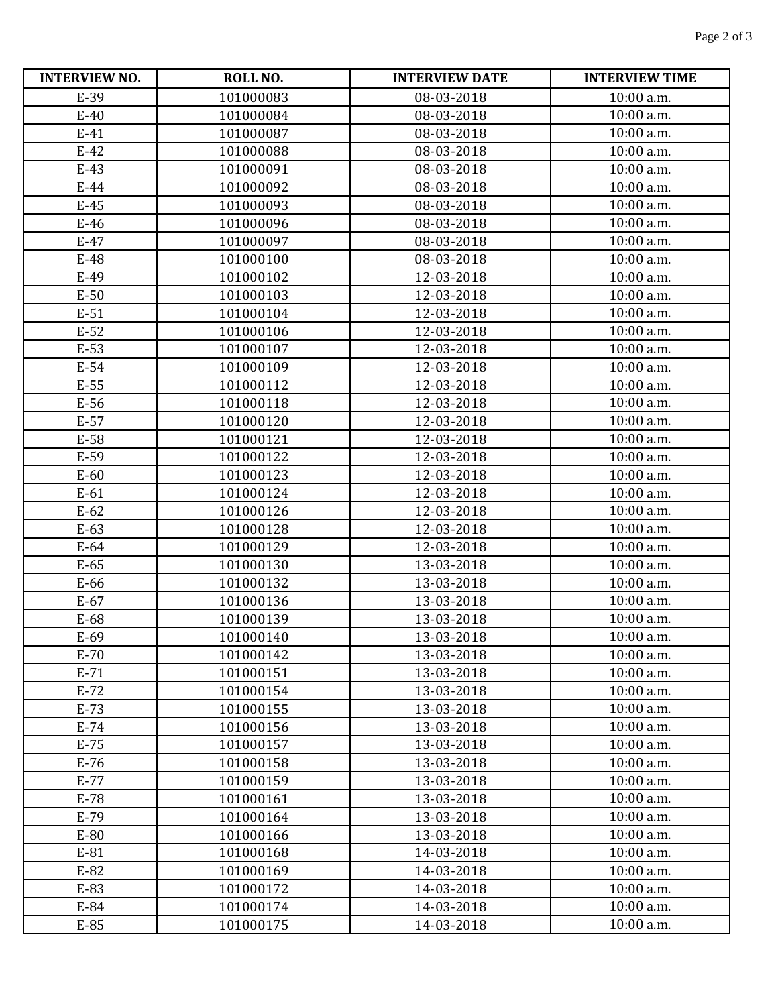| <b>INTERVIEW NO.</b> | ROLL NO.  | <b>INTERVIEW DATE</b> | <b>INTERVIEW TIME</b> |
|----------------------|-----------|-----------------------|-----------------------|
| E-39                 | 101000083 | 08-03-2018            | 10:00 a.m.            |
| $E-40$               | 101000084 | 08-03-2018            | 10:00 a.m.            |
| $E-41$               | 101000087 | 08-03-2018            | 10:00 a.m.            |
| $E-42$               | 101000088 | 08-03-2018            | 10:00 a.m.            |
| $E-43$               | 101000091 | 08-03-2018            | 10:00 a.m.            |
| $E-44$               | 101000092 | 08-03-2018            | 10:00 a.m.            |
| $E-45$               | 101000093 | 08-03-2018            | 10:00 a.m.            |
| $E-46$               | 101000096 | 08-03-2018            | 10:00 a.m.            |
| $E-47$               | 101000097 | 08-03-2018            | 10:00 a.m.            |
| $E-48$               | 101000100 | 08-03-2018            | 10:00 a.m.            |
| $E-49$               | 101000102 | 12-03-2018            | 10:00 a.m.            |
| $E-50$               | 101000103 | 12-03-2018            | 10:00 a.m.            |
| $E-51$               | 101000104 | 12-03-2018            | 10:00 a.m.            |
| $E-52$               | 101000106 | 12-03-2018            | 10:00 a.m.            |
| $E-53$               | 101000107 | 12-03-2018            | 10:00 a.m.            |
| $E-54$               | 101000109 | 12-03-2018            | 10:00 a.m.            |
| $E-55$               | 101000112 | 12-03-2018            | 10:00 a.m.            |
| E-56                 | 101000118 | 12-03-2018            | 10:00 a.m.            |
| $E-57$               | 101000120 | 12-03-2018            | 10:00 a.m.            |
| E-58                 | 101000121 | 12-03-2018            | 10:00 a.m.            |
| $E-59$               | 101000122 | 12-03-2018            | 10:00 a.m.            |
| $E-60$               | 101000123 | 12-03-2018            | 10:00 a.m.            |
| $E-61$               | 101000124 | 12-03-2018            | 10:00 a.m.            |
| $E-62$               | 101000126 | 12-03-2018            | 10:00 a.m.            |
| $E-63$               | 101000128 | 12-03-2018            | 10:00 a.m.            |
| $E-64$               | 101000129 | 12-03-2018            | 10:00 a.m.            |
| $E-65$               | 101000130 | 13-03-2018            | 10:00 a.m.            |
| E-66                 | 101000132 | 13-03-2018            | 10:00 a.m.            |
| $E-67$               | 101000136 | 13-03-2018            | 10:00 a.m.            |
| E-68                 | 101000139 | 13-03-2018            | 10:00 a.m.            |
| E-69                 | 101000140 | 13-03-2018            | 10:00 a.m.            |
| $E-70$               | 101000142 | 13-03-2018            | $10:00$ a.m.          |
| $E-71$               | 101000151 | 13-03-2018            | 10:00 a.m.            |
| $E-72$               | 101000154 | 13-03-2018            | 10:00 a.m.            |
| $E-73$               | 101000155 | 13-03-2018            | 10:00 a.m.            |
| $E-74$               | 101000156 | 13-03-2018            | 10:00 a.m.            |
| $E-75$               | 101000157 | 13-03-2018            | 10:00 a.m.            |
| $E-76$               | 101000158 | 13-03-2018            | 10:00 a.m.            |
| $E-77$               | 101000159 | 13-03-2018            | 10:00 a.m.            |
| $E-78$               | 101000161 | 13-03-2018            | 10:00 a.m.            |
| $E-79$               | 101000164 | 13-03-2018            | 10:00 a.m.            |
| E-80                 | 101000166 | 13-03-2018            | 10:00 a.m.            |
| E-81                 | 101000168 | 14-03-2018            | 10:00 a.m.            |
| E-82                 | 101000169 | 14-03-2018            | 10:00 a.m.            |
| E-83                 | 101000172 | 14-03-2018            | 10:00 a.m.            |
| E-84                 | 101000174 | 14-03-2018            | 10:00 a.m.            |
| E-85                 | 101000175 | 14-03-2018            | 10:00 a.m.            |